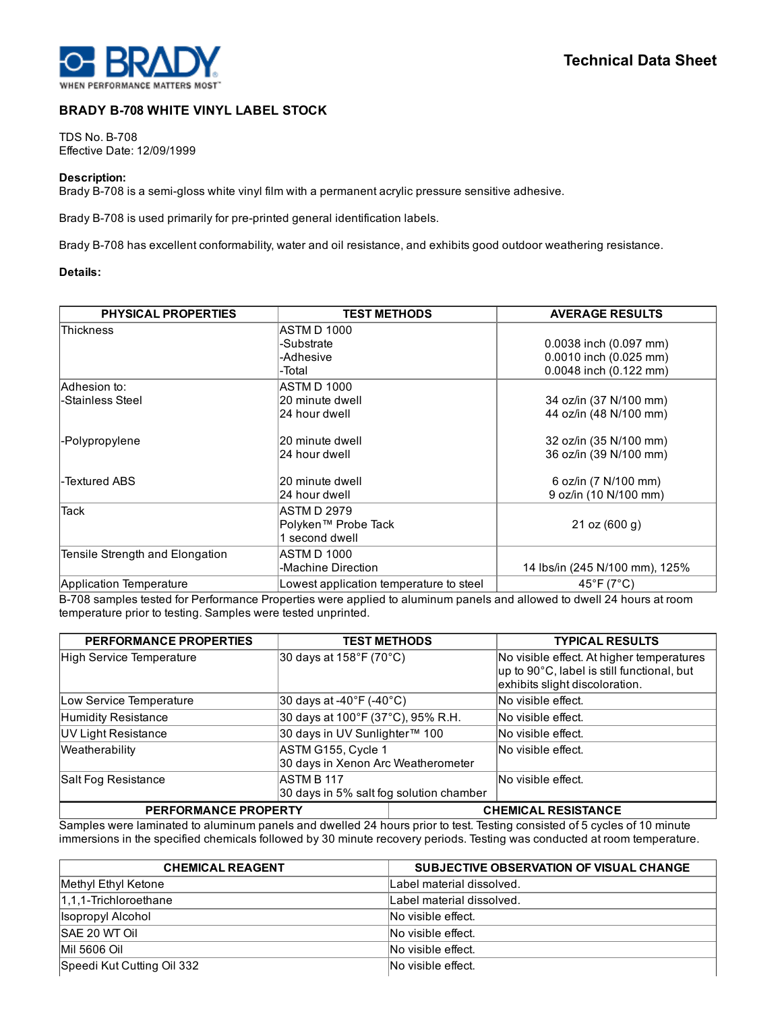

# BRADY B-708 WHITE VINYL LABEL STOCK

TDS No. B-708 Effective Date: 12/09/1999

## Description:

Brady B-708 is a semi-gloss white vinyl film with a permanent acrylic pressure sensitive adhesive.

Brady B-708 is used primarily for pre-printed general identification labels.

Brady B-708 has excellent conformability, water and oil resistance, and exhibits good outdoor weathering resistance.

## Details:

| <b>PHYSICAL PROPERTIES</b>      | <b>TEST METHODS</b>                     | <b>AVERAGE RESULTS</b>          |
|---------------------------------|-----------------------------------------|---------------------------------|
| <b>Thickness</b>                | ASTM D 1000                             |                                 |
|                                 | -Substrate                              | 0.0038 inch (0.097 mm)          |
|                                 | -Adhesive                               | 0.0010 inch (0.025 mm)          |
|                                 | -Total                                  | 0.0048 inch (0.122 mm)          |
| Adhesion to:                    | ASTM D 1000                             |                                 |
| -Stainless Steel                | 20 minute dwell                         | 34 oz/in (37 N/100 mm)          |
|                                 | 24 hour dwell                           | 44 oz/in (48 N/100 mm)          |
| -Polypropylene                  | l20 minute dwell                        | 32 oz/in (35 N/100 mm)          |
|                                 | 24 hour dwell                           | 36 oz/in (39 N/100 mm)          |
| l-Textured ABS                  | 20 minute dwell                         | 6 oz/in (7 N/100 mm)            |
|                                 | 24 hour dwell                           | 9 oz/in (10 N/100 mm)           |
| <b>Tack</b>                     | ASTM D 2979                             |                                 |
|                                 | Polyken™ Probe Tack                     | 21 oz (600 g)                   |
|                                 | 1 second dwell                          |                                 |
| Tensile Strength and Elongation | ASTM D 1000                             |                                 |
|                                 | -Machine Direction                      | 14 Ibs/in (245 N/100 mm), 125%  |
| Application Temperature         | Lowest application temperature to steel | $45^{\circ}$ F (7 $^{\circ}$ C) |

B-708 samples tested for Performance Properties were applied to aluminum panels and allowed to dwell 24 hours at room temperature prior to testing. Samples were tested unprinted.

| <b>PERFORMANCE PROPERTIES</b> |                                                              | <b>TEST METHODS</b> | <b>TYPICAL RESULTS</b>                                                                  |
|-------------------------------|--------------------------------------------------------------|---------------------|-----------------------------------------------------------------------------------------|
| High Service Temperature      | 30 days at 158°F (70°C)                                      |                     | No visible effect. At higher temperatures<br>up to 90°C, label is still functional, but |
|                               |                                                              |                     | exhibits slight discoloration.                                                          |
| Low Service Temperature       | 30 days at -40°F (-40°C)                                     |                     | No visible effect.                                                                      |
| Humidity Resistance           | 30 days at 100°F (37°C), 95% R.H.                            |                     | No visible effect.                                                                      |
| UV Light Resistance           | 30 days in UV Sunlighter™ 100                                |                     | No visible effect.                                                                      |
| Weatherability                | ASTM G155, Cycle 1<br>30 days in Xenon Arc Weatherometer     |                     | No visible effect.                                                                      |
| Salt Fog Resistance           | <b>ASTM B 117</b><br>30 days in 5% salt fog solution chamber |                     | INo visible effect.                                                                     |
| <b>PERFORMANCE PROPERTY</b>   |                                                              |                     | <b>CHEMICAL RESISTANCE</b>                                                              |

Samples were laminated to aluminum panels and dwelled 24 hours prior to test. Testing consisted of 5 cycles of 10 minute immersions in the specified chemicals followed by 30 minute recovery periods. Testing was conducted at room temperature.

| <b>CHEMICAL REAGENT</b>    | SUBJECTIVE OBSERVATION OF VISUAL CHANGE |
|----------------------------|-----------------------------------------|
| Methyl Ethyl Ketone        | Label material dissolved.               |
| $1,1,1$ -Trichloroethane   | Label material dissolved.               |
| Isopropyl Alcohol          | No visible effect.                      |
| <b>SAE 20 WT Oil</b>       | No visible effect.                      |
| Mil 5606 Oil               | No visible effect.                      |
| Speedi Kut Cutting Oil 332 | No visible effect.                      |